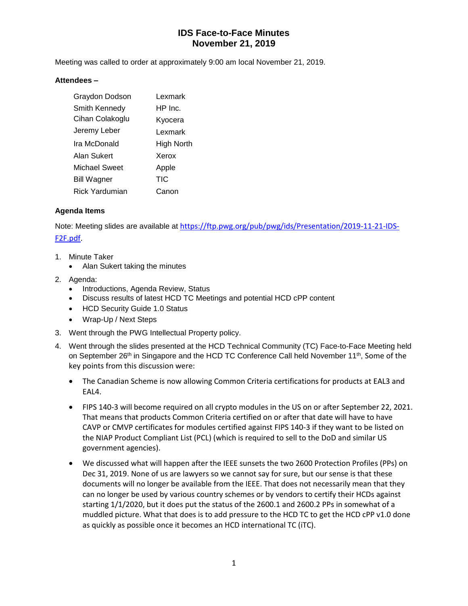# **IDS Face-to-Face Minutes November 21, 2019**

Meeting was called to order at approximately 9:00 am local November 21, 2019.

#### **Attendees –**

| Graydon Dodson       | Lexmark    |
|----------------------|------------|
| Smith Kennedy        | HP Inc.    |
| Cihan Colakoglu      | Kyocera    |
| Jeremy Leber         | Lexmark    |
| Ira McDonald         | High North |
| Alan Sukert          | Xerox      |
| <b>Michael Sweet</b> | Apple      |
| <b>Bill Wagner</b>   | TIC        |
| Rick Yardumian       | Canon      |

### **Agenda Items**

Note: Meeting slides are available at [https://ftp.pwg.org/pub/pwg/ids/Presentation/2019-11-21-IDS-](https://ftp.pwg.org/pub/pwg/ids/Presentation/2019-11-21-IDS-F2F.pdf)[F2F.pdf.](https://ftp.pwg.org/pub/pwg/ids/Presentation/2019-11-21-IDS-F2F.pdf)

- 1. Minute Taker
	- Alan Sukert taking the minutes
- 2. Agenda:
	- Introductions, Agenda Review, Status
	- Discuss results of latest HCD TC Meetings and potential HCD cPP content
	- HCD Security Guide 1.0 Status
	- Wrap-Up / Next Steps
- 3. Went through the PWG Intellectual Property policy.
- 4. Went through the slides presented at the HCD Technical Community (TC) Face-to-Face Meeting held on September 26<sup>th</sup> in Singapore and the HCD TC Conference Call held November 11<sup>th</sup>, Some of the key points from this discussion were:
	- The Canadian Scheme is now allowing Common Criteria certifications for products at EAL3 and EAL4.
	- FIPS 140-3 will become required on all crypto modules in the US on or after September 22, 2021. That means that products Common Criteria certified on or after that date will have to have CAVP or CMVP certificates for modules certified against FIPS 140-3 if they want to be listed on the NIAP Product Compliant List (PCL) (which is required to sell to the DoD and similar US government agencies).
	- We discussed what will happen after the IEEE sunsets the two 2600 Protection Profiles (PPs) on Dec 31, 2019. None of us are lawyers so we cannot say for sure, but our sense is that these documents will no longer be available from the IEEE. That does not necessarily mean that they can no longer be used by various country schemes or by vendors to certify their HCDs against starting 1/1/2020, but it does put the status of the 2600.1 and 2600.2 PPs in somewhat of a muddled picture. What that does is to add pressure to the HCD TC to get the HCD cPP v1.0 done as quickly as possible once it becomes an HCD international TC (iTC).